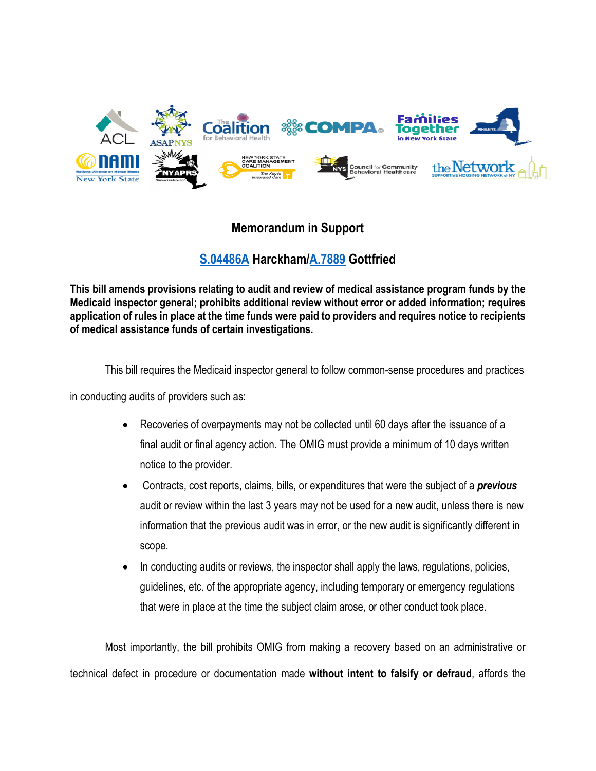

## **Memorandum in Support**

## **[S.04486A](https://assembly.state.ny.us/leg/?default_fld=&leg_video=&bn=S04486&term=2021&Summary=Y&Text=Y) Harckham[/A.7889](https://assembly.state.ny.us/leg/?term=2021&bn=A07889) Gottfried**

**This bill amends provisions relating to audit and review of medical assistance program funds by the Medicaid inspector general; prohibits additional review without error or added information; requires application of rules in place at the time funds were paid to providers and requires notice to recipients of medical assistance funds of certain investigations.**

This bill requires the Medicaid inspector general to follow common-sense procedures and practices

in conducting audits of providers such as:

- Recoveries of overpayments may not be collected until 60 days after the issuance of a final audit or final agency action. The OMIG must provide a minimum of 10 days written notice to the provider.
- Contracts, cost reports, claims, bills, or expenditures that were the subject of a *previous* audit or review within the last 3 years may not be used for a new audit, unless there is new information that the previous audit was in error, or the new audit is significantly different in scope.
- In conducting audits or reviews, the inspector shall apply the laws, regulations, policies, guidelines, etc. of the appropriate agency, including temporary or emergency regulations that were in place at the time the subject claim arose, or other conduct took place.

Most importantly, the bill prohibits OMIG from making a recovery based on an administrative or technical defect in procedure or documentation made **without intent to falsify or defraud**, affords the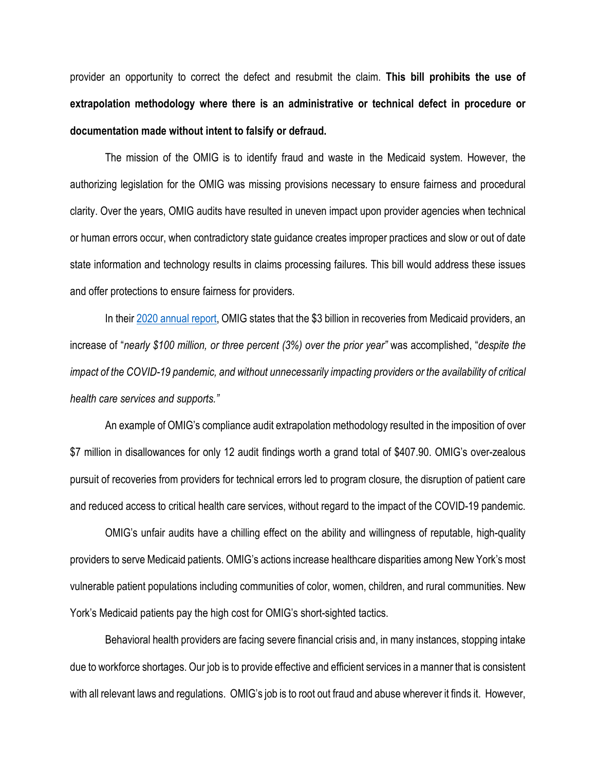provider an opportunity to correct the defect and resubmit the claim. **This bill prohibits the use of extrapolation methodology where there is an administrative or technical defect in procedure or documentation made without intent to falsify or defraud.** 

The mission of the OMIG is to identify fraud and waste in the Medicaid system. However, the authorizing legislation for the OMIG was missing provisions necessary to ensure fairness and procedural clarity. Over the years, OMIG audits have resulted in uneven impact upon provider agencies when technical or human errors occur, when contradictory state guidance creates improper practices and slow or out of date state information and technology results in claims processing failures. This bill would address these issues and offer protections to ensure fairness for providers.

In their [2020 annual report,](https://omig.ny.gov/information-resources/annual-reports) OMIG states that the \$3 billion in recoveries from Medicaid providers, an increase of "*nearly \$100 million, or three percent (3%) over the prior year"* was accomplished, "*despite the impact of the COVID-19 pandemic, and without unnecessarily impacting providers or the availability of critical health care services and supports."* 

An example of OMIG's compliance audit extrapolation methodology resulted in the imposition of over \$7 million in disallowances for only 12 audit findings worth a grand total of \$407.90. OMIG's over-zealous pursuit of recoveries from providers for technical errors led to program closure, the disruption of patient care and reduced access to critical health care services, without regard to the impact of the COVID-19 pandemic.

OMIG's unfair audits have a chilling effect on the ability and willingness of reputable, high-quality providers to serve Medicaid patients. OMIG's actions increase healthcare disparities among New York's most vulnerable patient populations including communities of color, women, children, and rural communities. New York's Medicaid patients pay the high cost for OMIG's short-sighted tactics.

Behavioral health providers are facing severe financial crisis and, in many instances, stopping intake due to workforce shortages. Our job is to provide effective and efficient services in a manner that is consistent with all relevant laws and regulations. OMIG's job is to root out fraud and abuse wherever it finds it. However,